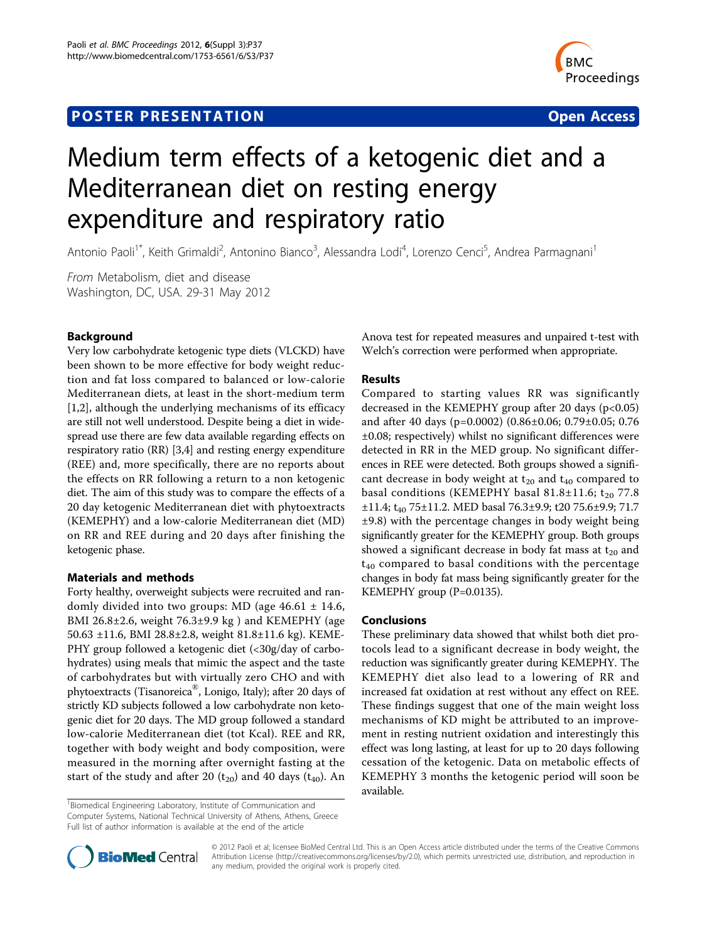# **POSTER PRESENTATION CONSUMING THE SERVICE SERVICE SERVICES**



# Medium term effects of a ketogenic diet and a Mediterranean diet on resting energy expenditure and respiratory ratio

Antonio Paoli<sup>1\*</sup>, Keith Grimaldi<sup>2</sup>, Antonino Bianco<sup>3</sup>, Alessandra Lodi<sup>4</sup>, Lorenzo Cenci<sup>5</sup>, Andrea Parmagnani<sup>1</sup>

From Metabolism, diet and disease Washington, DC, USA. 29-31 May 2012

# Background

Very low carbohydrate ketogenic type diets (VLCKD) have been shown to be more effective for body weight reduction and fat loss compared to balanced or low-calorie Mediterranean diets, at least in the short-medium term [[1,2\]](#page-1-0), although the underlying mechanisms of its efficacy are still not well understood. Despite being a diet in widespread use there are few data available regarding effects on respiratory ratio (RR) [\[3,4\]](#page-1-0) and resting energy expenditure (REE) and, more specifically, there are no reports about the effects on RR following a return to a non ketogenic diet. The aim of this study was to compare the effects of a 20 day ketogenic Mediterranean diet with phytoextracts (KEMEPHY) and a low-calorie Mediterranean diet (MD) on RR and REE during and 20 days after finishing the ketogenic phase.

# Materials and methods

Forty healthy, overweight subjects were recruited and randomly divided into two groups: MD (age 46.61 ± 14.6, BMI 26.8±2.6, weight 76.3±9.9 kg ) and KEMEPHY (age 50.63 ±11.6, BMI 28.8±2.8, weight 81.8±11.6 kg). KEME-PHY group followed a ketogenic diet (<30g/day of carbohydrates) using meals that mimic the aspect and the taste of carbohydrates but with virtually zero CHO and with phytoextracts (Tisanoreica®, Lonigo, Italy); after 20 days of strictly KD subjects followed a low carbohydrate non ketogenic diet for 20 days. The MD group followed a standard low-calorie Mediterranean diet (tot Kcal). REE and RR, together with body weight and body composition, were measured in the morning after overnight fasting at the start of the study and after 20  $(t_{20})$  and 40 days  $(t_{40})$ . An

Anova test for repeated measures and unpaired t-test with Welch's correction were performed when appropriate.

# Results

Compared to starting values RR was significantly decreased in the KEMEPHY group after 20 days  $(p<0.05)$ and after 40 days (p=0.0002) (0.86±0.06; 0.79±0.05; 0.76 ±0.08; respectively) whilst no significant differences were detected in RR in the MED group. No significant differences in REE were detected. Both groups showed a significant decrease in body weight at  $t_{20}$  and  $t_{40}$  compared to basal conditions (KEMEPHY basal 81.8±11.6;  $t_{20}$  77.8 ±11.4; t<sub>40</sub> 75±11.2. MED basal 76.3±9.9; t20 75.6±9.9; 71.7 ±9.8) with the percentage changes in body weight being significantly greater for the KEMEPHY group. Both groups showed a significant decrease in body fat mass at  $t_{20}$  and  $t_{40}$  compared to basal conditions with the percentage changes in body fat mass being significantly greater for the KEMEPHY group (P=0.0135).

# Conclusions

These preliminary data showed that whilst both diet protocols lead to a significant decrease in body weight, the reduction was significantly greater during KEMEPHY. The KEMEPHY diet also lead to a lowering of RR and increased fat oxidation at rest without any effect on REE. These findings suggest that one of the main weight loss mechanisms of KD might be attributed to an improvement in resting nutrient oxidation and interestingly this effect was long lasting, at least for up to 20 days following cessation of the ketogenic. Data on metabolic effects of KEMEPHY 3 months the ketogenic period will soon be available.

<sup>&</sup>lt;sup>1</sup>Biomedical Engineering Laboratory, Institute of Communication and Computer Systems, National Technical University of Athens, Athens, Greece Full list of author information is available at the end of the article



© 2012 Paoli et al; licensee BioMed Central Ltd. This is an Open Access article distributed under the terms of the Creative Commons Attribution License [\(http://creativecommons.org/licenses/by/2.0](http://creativecommons.org/licenses/by/2.0)), which permits unrestricted use, distribution, and reproduction in any medium, provided the original work is properly cited.